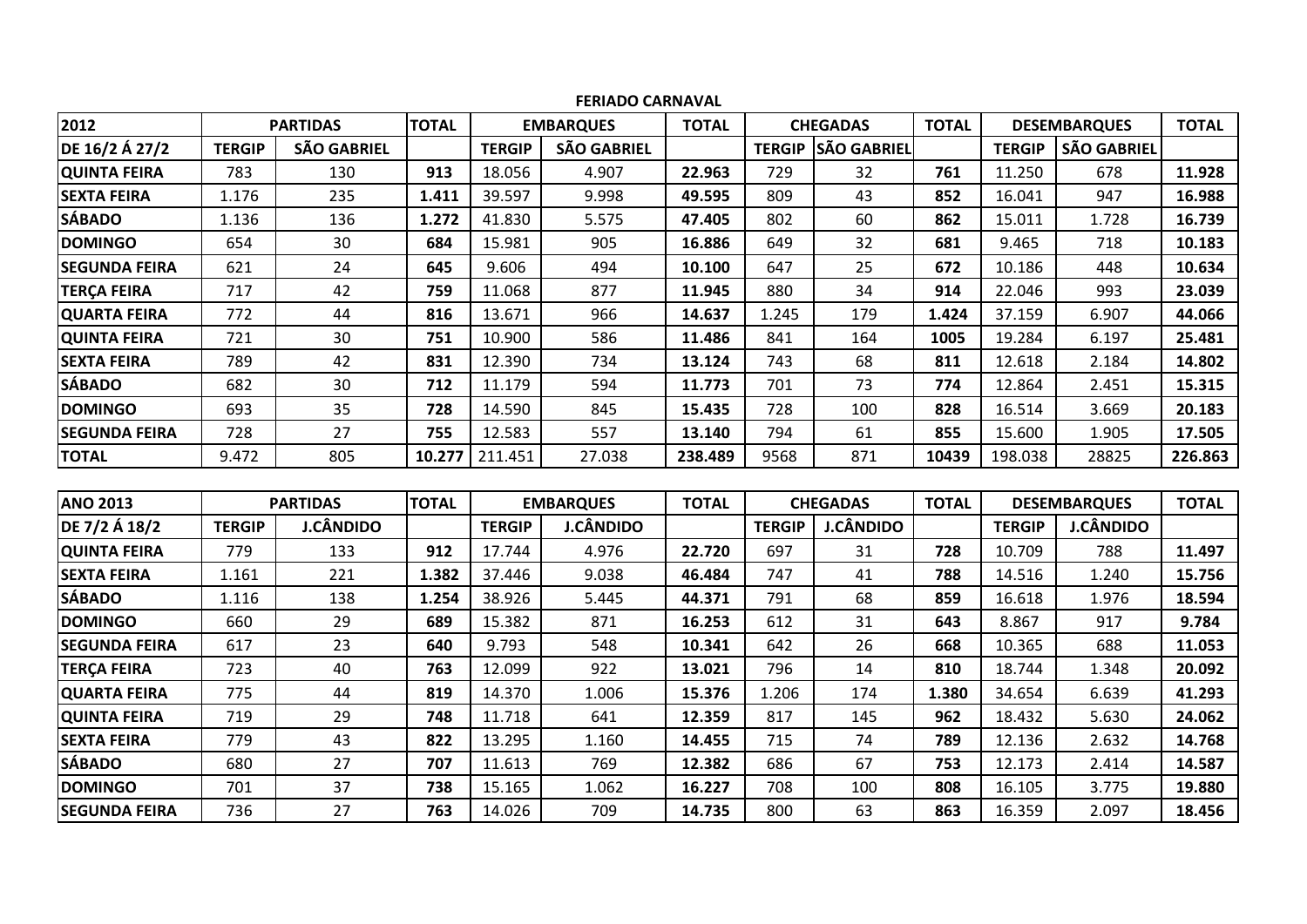|                      |               |                    |              |               | <b>FERIADO CARNAVAL</b> |              |                                     |                    |              |               |                     |              |
|----------------------|---------------|--------------------|--------------|---------------|-------------------------|--------------|-------------------------------------|--------------------|--------------|---------------|---------------------|--------------|
| 2012                 |               | <b>PARTIDAS</b>    | <b>TOTAL</b> |               | <b>EMBARQUES</b>        | <b>TOTAL</b> |                                     | <b>CHEGADAS</b>    | <b>TOTAL</b> |               | <b>DESEMBARQUES</b> | <b>TOTAL</b> |
| DE 16/2 Á 27/2       | <b>TERGIP</b> | <b>SÃO GABRIEL</b> |              | <b>TERGIP</b> | <b>SÃO GABRIEL</b>      |              | <b>TERGIP</b>                       | <b>SÃO GABRIEL</b> |              | <b>TERGIP</b> | <b>SÃO GABRIEL</b>  |              |
| <b>QUINTA FEIRA</b>  | 783           | 130                | 913          | 18.056        | 4.907                   | 22.963       | 729                                 | 32                 | 761          | 11.250        | 678                 | 11.928       |
| <b>SEXTA FEIRA</b>   | 1.176         | 235                | 1.411        | 39.597        | 9.998                   | 49.595       | 809                                 | 43                 | 852          | 16.041        | 947                 | 16.988       |
| <b>SÁBADO</b>        | 1.136         | 136                | 1.272        | 41.830        | 5.575                   | 47.405       | 802                                 | 60                 | 862          | 15.011        | 1.728               | 16.739       |
| <b>DOMINGO</b>       | 654           | 30                 | 684          | 15.981        | 905                     | 16.886       | 649                                 | 32                 | 681          | 9.465         | 718                 | 10.183       |
| <b>SEGUNDA FEIRA</b> | 621           | 24                 | 645          | 9.606         | 494                     | 10.100       | 647                                 | 25                 | 672          | 10.186        | 448                 | 10.634       |
| <b>TERÇA FEIRA</b>   | 717           | 42                 | 759          | 11.068        | 877                     | 11.945       | 880                                 | 34                 | 914          | 22.046        | 993                 | 23.039       |
| <b>QUARTA FEIRA</b>  | 772           | 44                 | 816          | 13.671        | 966                     | 14.637       | 1.245                               | 179                | 1.424        | 37.159        | 6.907               | 44.066       |
| <b>QUINTA FEIRA</b>  | 721           | 30                 | 751          | 10.900        | 586                     | 11.486       | 841                                 | 164                | 1005         | 19.284        | 6.197               | 25.481       |
| <b>SEXTA FEIRA</b>   | 789           | 42                 | 831          | 12.390        | 734                     | 13.124       | 743                                 | 68                 | 811          | 12.618        | 2.184               | 14.802       |
| <b>SÁBADO</b>        | 682           | 30                 | 712          | 11.179        | 594                     | 11.773       | 701                                 | 73                 | 774          | 12.864        | 2.451               | 15.315       |
| <b>DOMINGO</b>       | 693           | 35                 | 728          | 14.590        | 845                     | 15.435       | 728                                 | 100                | 828          | 16.514        | 3.669               | 20.183       |
| <b>SEGUNDA FEIRA</b> | 728           | 27                 | 755          | 12.583        | 557                     | 13.140       | 794                                 | 61                 | 855          | 15.600        | 1.905               | 17.505       |
| <b>TOTAL</b>         | 9.472         | 805                | 10.277       | 211.451       | 27.038                  | 238.489      | 9568                                | 871                | 10439        | 198.038       | 28825               | 226.863      |
|                      |               |                    |              |               |                         |              |                                     |                    |              |               |                     |              |
| <b>ANO 2013</b>      |               | <b>PARTIDAS</b>    | <b>TOTAL</b> |               | <b>EMBARQUES</b>        | <b>TOTAL</b> |                                     | <b>CHEGADAS</b>    | <b>TOTAL</b> |               | <b>DESEMBARQUES</b> | <b>TOTAL</b> |
| DE 7/2 Á 18/2        | <b>TERGIP</b> | J.CÂNDIDO          |              | <b>TERGIP</b> | <b>J.CÂNDIDO</b>        |              | <b>TERGIP</b>                       | <b>J.CÂNDIDO</b>   |              | <b>TERGIP</b> | <b>J.CÂNDIDO</b>    |              |
| <b>QUINTA FEIRA</b>  | 779           | 133                | 912          | 17.744        | 4.976                   | 22.720       | 697                                 | 31                 | 728          | 10.709        | 788                 | 11.497       |
| <b>SEXTA FEIRA</b>   | 1.161         | 221                | 1.382        | 37.446        | 9.038                   | 46.484       | 747                                 | 41                 | 788          | 14.516        | 1.240               | 15.756       |
| <b>SÁBADO</b>        | 1.116         | 138                | 1.254        | 38.926        | 5.445                   | 44.371       | 791                                 | 68                 | 859          | 16.618        | 1.976               | 18.594       |
| <b>DOMINGO</b>       | 660           | 29                 | 689          | 15.382        | 871                     | 16.253       | 612                                 | 31                 | 643          | 8.867         | 917                 | 9.784        |
| <b>SEGUNDA FEIRA</b> | 617           | 23                 | 640          | 9.793         | 548                     | 10.341       | 642                                 | 26                 | 668          | 10.365        | 688                 | 11.053       |
| <b>TERÇA FEIRA</b>   | 723           | 40                 | 763          | 12.099        | 922                     | 13.021       | 796                                 | 14                 | 810          | 18.744        | 1.348               | 20.092       |
| <b>QUARTA FEIRA</b>  | 775           | 44                 | 819          | 14.370        | 1.006                   | 15.376       | 1.206                               | 174                | 1.380        | 34.654        | 6.639               | 41.293       |
| <b>QUINTA FEIRA</b>  | 719           | 29                 | 748          | 11.718        | 641                     | 12.359       | 817<br>962<br>145                   |                    | 18.432       | 5.630         | 24.062              |              |
| <b>SEXTA FEIRA</b>   | 779           | 43                 | 822          | 13.295        | 1.160                   | 14.455       | 715                                 | 74                 | 789          | 12.136        | 2.632               | 14.768       |
| <b>SÁBADO</b>        | 680           | 27                 | 707          | 11.613        | 769                     | 12.382       | 67<br>686<br>753<br>12.173<br>2.414 |                    |              | 14.587        |                     |              |
| <b>DOMINGO</b>       | 701           | 37                 | 738          | 15.165        | 1.062                   | 16.227       | 708                                 | 100                | 808          | 16.105        | 3.775               | 19.880       |
| <b>SEGUNDA FEIRA</b> | 736           | 27                 | 763          | 14.026        | 709                     | 14.735       | 800                                 | 63                 | 863          | 16.359        | 2.097               | 18.456       |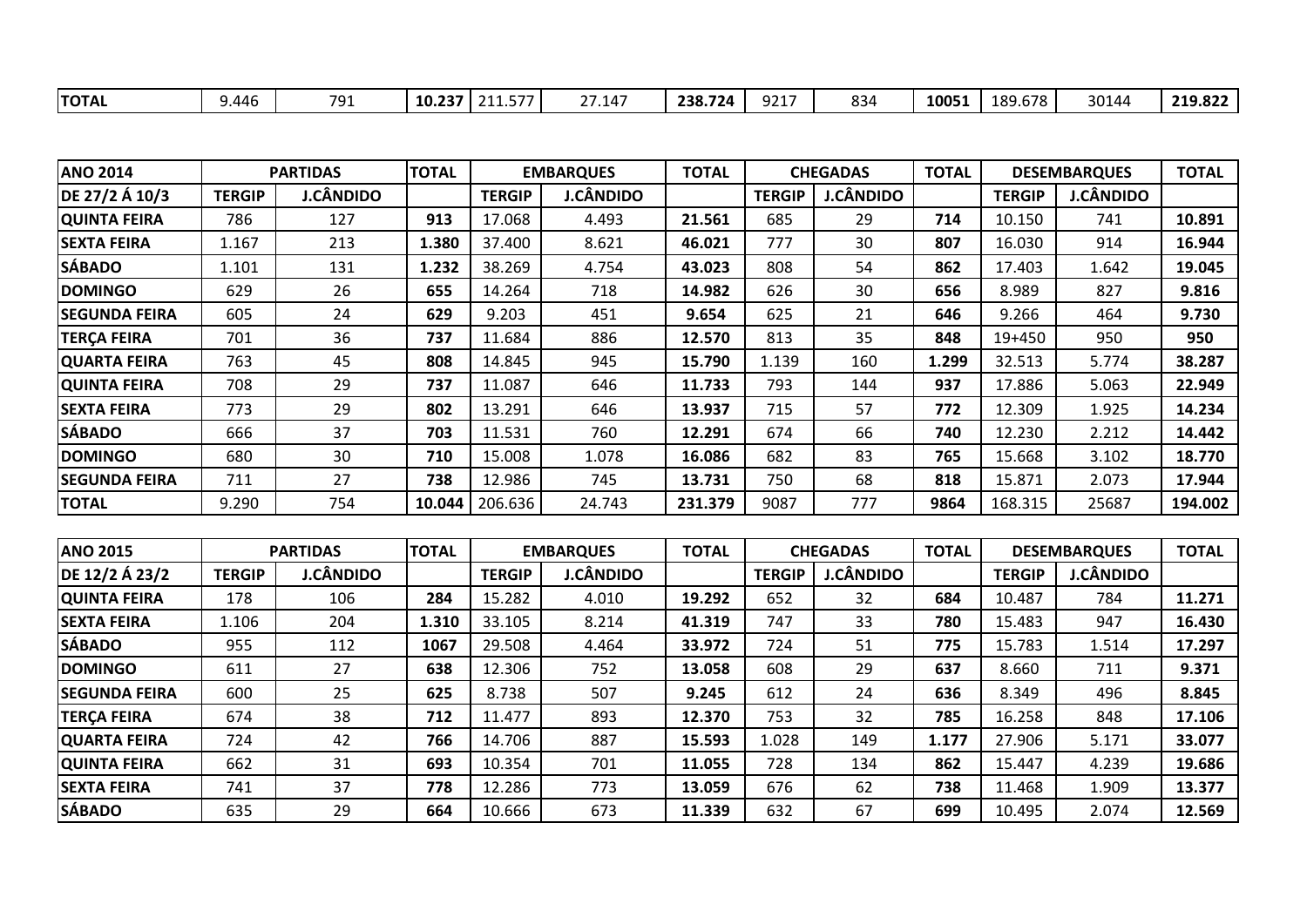| <b>ANO 2014</b>      |               | <b>PARTIDAS</b>  | <b>TOTAL</b> |               | <b>EMBARQUES</b> | <b>TOTAL</b> |               | <b>CHEGADAS</b>  | <b>TOTAL</b>                      |               | <b>DESEMBARQUES</b> | <b>TOTAL</b> |
|----------------------|---------------|------------------|--------------|---------------|------------------|--------------|---------------|------------------|-----------------------------------|---------------|---------------------|--------------|
| DE 27/2 Á 10/3       | <b>TERGIP</b> | J.CÂNDIDO        |              | <b>TERGIP</b> | <b>J.CÂNDIDO</b> |              | <b>TERGIP</b> | <b>J.CÂNDIDO</b> | <b>J.CÂNDIDO</b><br><b>TERGIP</b> |               |                     |              |
| <b>QUINTA FEIRA</b>  | 786           | 127              | 913          | 17.068        | 4.493            | 21.561       | 685           | 29               | 714<br>10.150<br>741              |               | 10.891              |              |
| <b>SEXTA FEIRA</b>   | 1.167         | 213              | 1.380        | 37.400        | 8.621            | 46.021       | 777           | 30               | 807                               | 16.030        | 914                 | 16.944       |
| <b>SÁBADO</b>        | 1.101         | 131              | 1.232        | 38.269        | 4.754            | 43.023       | 808           | 54               | 862                               | 17.403        | 1.642               | 19.045       |
| <b>DOMINGO</b>       | 629           | 26               | 655          | 14.264        | 718              | 14.982       | 626           | 30               | 656                               | 8.989         | 827                 | 9.816        |
| <b>SEGUNDA FEIRA</b> | 605           | 24               | 629          | 9.203         | 451              | 9.654        | 625           | 21               | 646                               | 9.266         | 464                 | 9.730        |
| <b>TERÇA FEIRA</b>   | 701           | 36               | 737          | 11.684        | 886              | 12.570       | 813           | 35               | 848                               | 19+450        | 950                 | 950          |
| <b>QUARTA FEIRA</b>  | 763           | 45               | 808          | 14.845        | 945              | 15.790       | 1.139         | 160              | 1.299                             | 32.513        | 5.774               | 38.287       |
| <b>QUINTA FEIRA</b>  | 708           | 29               | 737          | 11.087        | 646              | 11.733       | 793           | 144              | 937                               | 17.886        | 5.063               | 22.949       |
| <b>SEXTA FEIRA</b>   | 773           | 29               | 802          | 13.291        | 646              | 13.937       | 715           | 57               | 772                               | 12.309        | 1.925               | 14.234       |
| <b>SÁBADO</b>        | 666           | 37               | 703          | 11.531        | 760              | 12.291       | 674           | 66               | 740                               | 12.230        | 2.212               | 14.442       |
| <b>DOMINGO</b>       | 680           | 30               | 710          | 15.008        | 1.078            | 16.086       | 682           | 83               | 765                               | 15.668        | 3.102               | 18.770       |
| <b>SEGUNDA FEIRA</b> | 711           | 27               | 738          | 12.986        | 745              | 13.731       | 750           | 68               | 818<br>15.871<br>2.073            |               |                     | 17.944       |
| <b>TOTAL</b>         | 9.290         | 754              | 10.044       | 206.636       | 24.743           | 231.379      | 9087          | 777              | 9864                              | 168.315       | 25687               | 194.002      |
|                      |               |                  |              |               |                  |              |               |                  |                                   |               |                     |              |
| <b>ANO 2015</b>      |               | <b>PARTIDAS</b>  | <b>TOTAL</b> |               | <b>EMBARQUES</b> | <b>TOTAL</b> |               | <b>CHEGADAS</b>  | <b>TOTAL</b>                      |               | <b>DESEMBARQUES</b> | <b>TOTAL</b> |
| DE 12/2 Á 23/2       | <b>TERGIP</b> | <b>J.CÂNDIDO</b> |              | <b>TERGIP</b> | <b>J.CÂNDIDO</b> |              | <b>TERGIP</b> | <b>J.CÂNDIDO</b> |                                   | <b>TERGIP</b> | <b>J.CÂNDIDO</b>    |              |
| <b>QUINTA FEIRA</b>  | 178           | 106              | 284          | 15.282        | 4.010            | 19.292       | 652           | 32               | 684                               | 10.487        | 784                 | 11.271       |
| <b>SEXTA FEIRA</b>   | 1.106         | 204              | 1.310        | 33.105        | 8.214            | 41.319       | 747           | 33               | 780                               | 15.483        | 947                 | 16.430       |
| <b>SÁBADO</b>        | 955           | 112              | 1067         | 29.508        | 4.464            | 33.972       | 724           | 51               | 775                               | 15.783        | 1.514               | 17.297       |
| <b>DOMINGO</b>       | 611           | 27               | 638          | 12.306        | 752              | 13.058       | 608           | 29               | 637                               | 8.660         | 711                 | 9.371        |
| <b>SEGUNDA FEIRA</b> | 600           | 25               | 625          | 8.738         | 507              | 9.245        | 612           | 24               | 636                               | 8.349         | 496                 | 8.845        |
| <b>TERÇA FEIRA</b>   | 674           | 38               | 712          | 11.477        | 893              | 12.370       | 753           | 32               | 785                               | 16.258        | 848                 | 17.106       |
| <b>QUARTA FEIRA</b>  | 724           | 42               | 766          | 14.706        | 887              | 15.593       | 1.028         | 149              | 1.177                             | 27.906        | 5.171               | 33.077       |
| <b>QUINTA FEIRA</b>  | 662           | 31               | 693          | 10.354        | 701              | 11.055       | 728           | 134              | 862<br>15.447<br>4.239            |               |                     | 19.686       |
| <b>SEXTA FEIRA</b>   | 741           | 37               | 778          | 12.286        | 773              | 13.059       | 676           | 62               | 738<br>11.468<br>1.909            |               |                     | 13.377       |
| <b>SÁBADO</b>        | 635           | 29               | 664          | 10.666        | 673              | 11.339       | 632           | 67               | 699                               | 10.495        | 2.074               | 12.569       |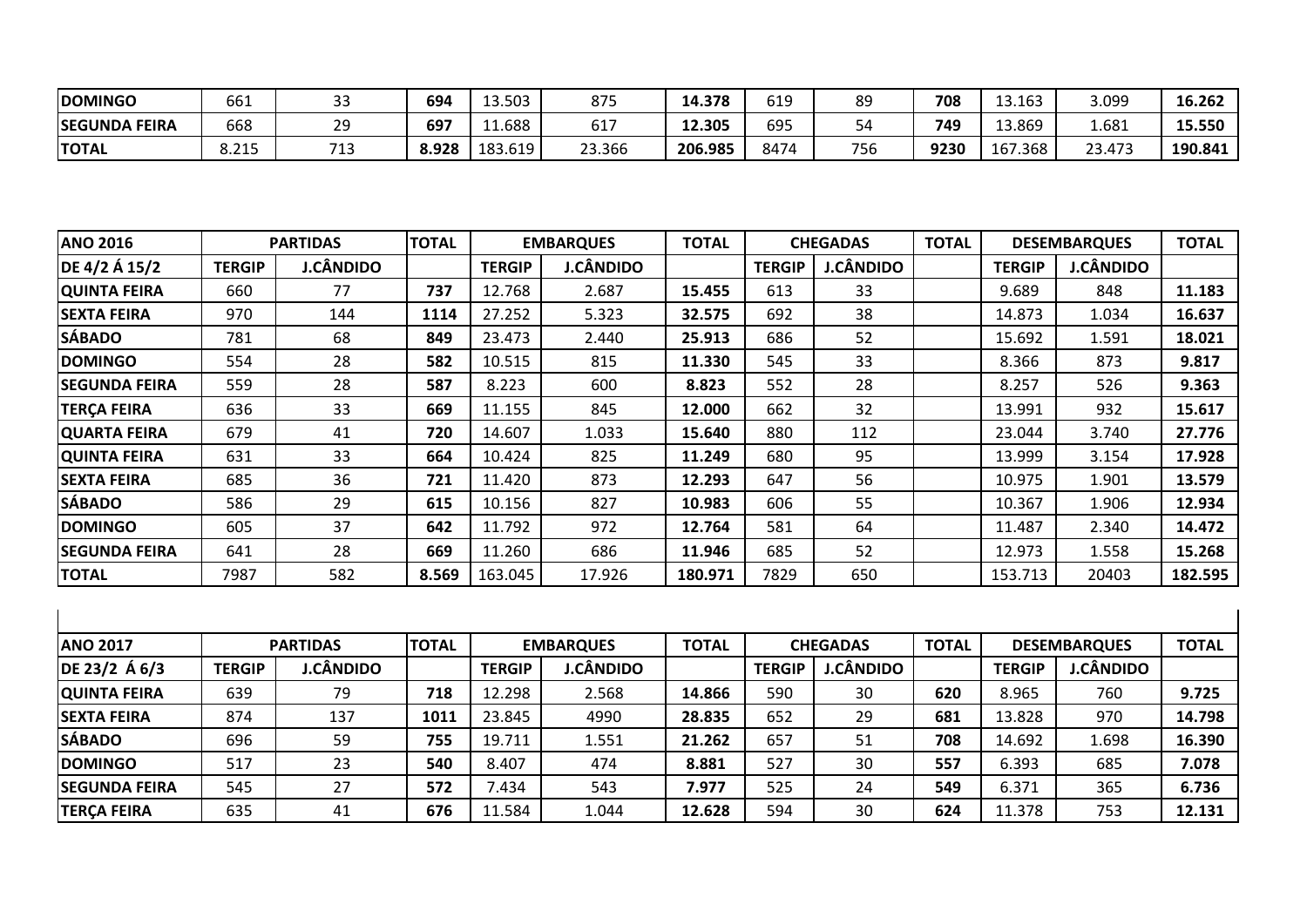| <b>DOMINGO</b>       | مہم<br>bbl    | $\sim$<br>კ       | 694   | 13.503  | 875              | 14.378  | 619  | 89  | 708  | 13.163  | 3.099          | 16.262  |
|----------------------|---------------|-------------------|-------|---------|------------------|---------|------|-----|------|---------|----------------|---------|
| <b>SEGUNDA FEIRA</b> | 668           | 29                | 697   | 11.688  | $\sim$ $-$<br>UШ | 12.305  | 695  | 4د  | 749  | 13.869  | 1.681          | 15.550  |
| <b>TOTAL</b>         | 71E<br>0. L J | <b>749</b><br>د ⊥ | 8.928 | 183.619 | 23.366           | 206.985 | 8474 | 756 | 9230 | 167.368 | ົາ ຊ<br>23.473 | 190.841 |

| <b>ANO 2016</b>      |               | <b>PARTIDAS</b> | <b>TOTAL</b> |               | <b>EMBARQUES</b> | <b>TOTAL</b> |               | <b>CHEGADAS</b>  | <b>TOTAL</b><br><b>DESEMBARQUES</b> |               | <b>TOTAL</b>     |         |
|----------------------|---------------|-----------------|--------------|---------------|------------------|--------------|---------------|------------------|-------------------------------------|---------------|------------------|---------|
| DE 4/2 Á 15/2        | <b>TERGIP</b> | J.CÂNDIDO       |              | <b>TERGIP</b> | <b>J.CÂNDIDO</b> |              | <b>TERGIP</b> | <b>J.CÂNDIDO</b> |                                     | <b>TERGIP</b> | <b>J.CÂNDIDO</b> |         |
| <b>QUINTA FEIRA</b>  | 660           | 77              | 737          | 12.768        | 2.687            | 15.455       | 613           | 33               |                                     | 9.689         | 848              | 11.183  |
| <b>SEXTA FEIRA</b>   | 970           | 144             | 1114         | 27.252        | 5.323            | 32.575       | 692           | 38               |                                     | 14.873        | 1.034            | 16.637  |
| <b>SÁBADO</b>        | 781           | 68              | 849          | 23.473        | 2.440            | 25.913       | 686           | 52               |                                     | 15.692        | 1.591            | 18.021  |
| <b>DOMINGO</b>       | 554           | 28              | 582          | 10.515        | 815              | 11.330       | 545           | 33               |                                     | 8.366         | 873              | 9.817   |
| <b>SEGUNDA FEIRA</b> | 559           | 28              | 587          | 8.223         | 600              | 8.823        | 552           | 28               |                                     | 8.257         | 526              | 9.363   |
| <b>TERÇA FEIRA</b>   | 636           | 33              | 669          | 11.155        | 845              | 12.000       | 662           | 32               |                                     | 13.991        | 932              | 15.617  |
| <b>QUARTA FEIRA</b>  | 679           | 41              | 720          | 14.607        | 1.033            | 15.640       | 880           | 112              |                                     | 23.044        | 3.740            | 27.776  |
| <b>QUINTA FEIRA</b>  | 631           | 33              | 664          | 10.424        | 825              | 11.249       | 680           | 95               |                                     | 13.999        | 3.154            | 17.928  |
| <b>SEXTA FEIRA</b>   | 685           | 36              | 721          | 11.420        | 873              | 12.293       | 647           | 56               |                                     | 10.975        | 1.901            | 13.579  |
| <b>SÁBADO</b>        | 586           | 29              | 615          | 10.156        | 827              | 10.983       | 606           | 55               |                                     | 10.367        | 1.906            | 12.934  |
| <b>DOMINGO</b>       | 605           | 37              | 642          | 11.792        | 972              | 12.764       | 581           | 64               |                                     | 11.487        | 2.340            | 14.472  |
| ISEGUNDA FEIRA       | 641           | 28              | 669          | 11.260        | 686              | 11.946       | 685           | 52               |                                     | 12.973        | 1.558            | 15.268  |
| <b>TOTAL</b>         | 7987          | 582             | 8.569        | 163.045       | 17.926           | 180.971      | 7829          | 650              |                                     | 153.713       | 20403            | 182.595 |

| <b>ANO 2017</b>      |               | <b>PARTIDAS</b>  | <b>TOTAL</b> |               | <b>EMBARQUES</b> | <b>TOTAL</b> |               | <b>CHEGADAS</b>  | <b>TOTAL</b> |               | <b>DESEMBARQUES</b> | <b>TOTAL</b> |
|----------------------|---------------|------------------|--------------|---------------|------------------|--------------|---------------|------------------|--------------|---------------|---------------------|--------------|
| $DE 23/2 \land 6/3$  | <b>TERGIP</b> | <b>J.CÂNDIDO</b> |              | <b>TERGIP</b> | J.CÂNDIDO        |              | <b>TERGIP</b> | <b>J.CÂNDIDO</b> |              | <b>TERGIP</b> | <b>J.CÂNDIDO</b>    |              |
| <b>QUINTA FEIRA</b>  | 639           | 79               | 718          | 12.298        | 2.568            | 14.866       | 590           | 30               | 620          | 8.965         | 760                 | 9.725        |
| <b>SEXTA FEIRA</b>   | 874           | 137              | 1011         | 23.845        | 4990             | 28.835       | 652           | 29               | 681          | 13.828        | 970                 | 14.798       |
| <b>SÁBADO</b>        | 696           | 59               | 755          | 19.711        | 1.551            | 21.262       | 657           | 51               | 708          | 14.692        | 1.698               | 16.390       |
| <b>DOMINGO</b>       | 517           | 23               | 540          | 8.407         | 474              | 8.881        | 527           | 30               | 557          | 6.393         | 685                 | 7.078        |
| <b>SEGUNDA FEIRA</b> | 545           | 27               | 572          | .434          | 543              | 7.977        | 525           | 24               | 549          | 6.371         | 365                 | 6.736        |
| <b>TERÇA FEIRA</b>   | 635           | 41               | 676          | 11.584        | 1.044            | 12.628       | 594           | 30               | 624          | 11.378        | 753                 | 12.131       |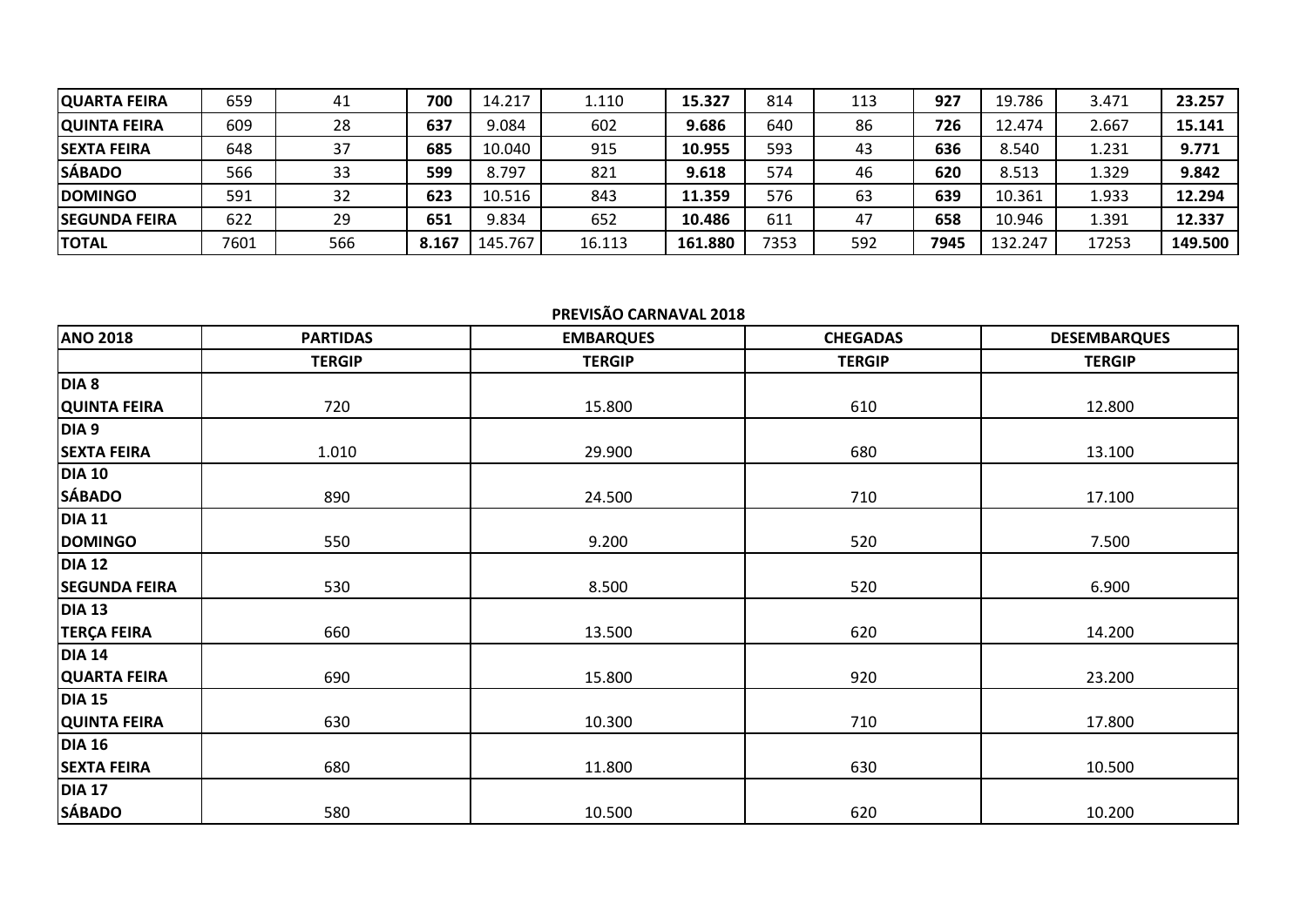| <b>QUARTA FEIRA</b>   | 659  | 41  | 700   | 14.217  | 1.110  | 15.327  | 814  | 113 | 927  | 19.786  | 3.471 | 23.257  |
|-----------------------|------|-----|-------|---------|--------|---------|------|-----|------|---------|-------|---------|
| <b>QUINTA FEIRA</b>   | 609  | 28  | 637   | 9.084   | 602    | 9.686   | 640  | 86  | 726  | 12.474  | 2.667 | 15.141  |
| <b>SEXTA FEIRA</b>    | 648  | 37  | 685   | 10.040  | 915    | 10.955  | 593  | 43  | 636  | 8.540   | 1.231 | 9.771   |
| <b>SÁBADO</b>         | 566  | 33  | 599   | 8.797   | 821    | 9.618   | 574  | 46  | 620  | 8.513   | 1.329 | 9.842   |
| <b>DOMINGO</b>        | 591  | 32  | 623   | 10.516  | 843    | 11.359  | 576  | 63  | 639  | 10.361  | 1.933 | 12.294  |
| <b>ISEGUNDA FEIRA</b> | 622  | 29  | 651   | 9.834   | 652    | 10.486  | 611  | 47  | 658  | 10.946  | 1.391 | 12.337  |
| ΙΤΟΤΑL                | 7601 | 566 | 8.167 | 145.767 | 16.113 | 161.880 | 7353 | 592 | 7945 | 132.247 | 17253 | 149.500 |

## **PREVISÃO CARNAVAL 2018**

| <b>ANO 2018</b>      | <b>PARTIDAS</b> | <b>EMBARQUES</b> | <b>CHEGADAS</b> | <b>DESEMBARQUES</b> |
|----------------------|-----------------|------------------|-----------------|---------------------|
|                      | <b>TERGIP</b>   | <b>TERGIP</b>    | <b>TERGIP</b>   | <b>TERGIP</b>       |
| DIA <sub>8</sub>     |                 |                  |                 |                     |
| <b>QUINTA FEIRA</b>  | 720             | 15.800           | 610             | 12.800              |
| DIA <sub>9</sub>     |                 |                  |                 |                     |
| <b>SEXTA FEIRA</b>   | 1.010           | 29.900           | 680             | 13.100              |
| <b>DIA 10</b>        |                 |                  |                 |                     |
| <b>SÁBADO</b>        | 890             | 24.500           | 710             | 17.100              |
| <b>DIA 11</b>        |                 |                  |                 |                     |
| <b>DOMINGO</b>       | 550             | 9.200            | 520             | 7.500               |
| <b>DIA 12</b>        |                 |                  |                 |                     |
| <b>SEGUNDA FEIRA</b> | 530             | 8.500            | 520             | 6.900               |
| <b>DIA 13</b>        |                 |                  |                 |                     |
| <b>TERÇA FEIRA</b>   | 660             | 13.500           | 620             | 14.200              |
| <b>DIA 14</b>        |                 |                  |                 |                     |
| <b>QUARTA FEIRA</b>  | 690             | 15.800           | 920             | 23.200              |
| <b>DIA 15</b>        |                 |                  |                 |                     |
| <b>QUINTA FEIRA</b>  | 630             | 10.300           | 710             | 17.800              |
| <b>DIA 16</b>        |                 |                  |                 |                     |
| <b>SEXTA FEIRA</b>   | 680             | 11.800           | 630             | 10.500              |
| <b>DIA 17</b>        |                 |                  |                 |                     |
| <b>SÁBADO</b>        | 580             | 10.500           | 620             | 10.200              |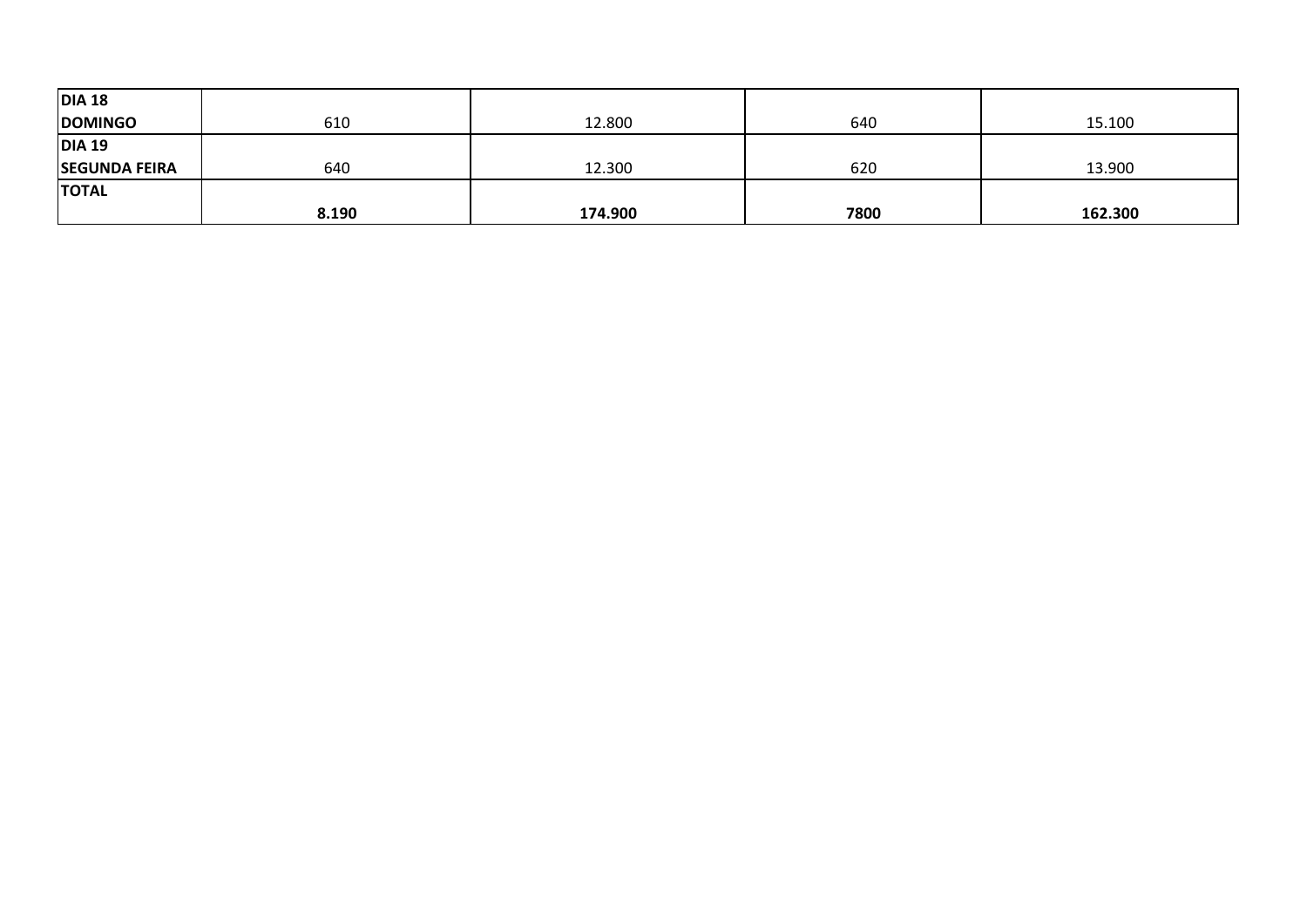| <b>DIA 18</b>        |       |         |      |         |
|----------------------|-------|---------|------|---------|
| <b>DOMINGO</b>       | 610   | 12.800  | 640  | 15.100  |
| <b>DIA 19</b>        |       |         |      |         |
| <b>SEGUNDA FEIRA</b> | 640   | 12.300  | 620  | 13.900  |
| <b>TOTAL</b>         |       |         |      |         |
|                      | 8.190 | 174.900 | 7800 | 162.300 |